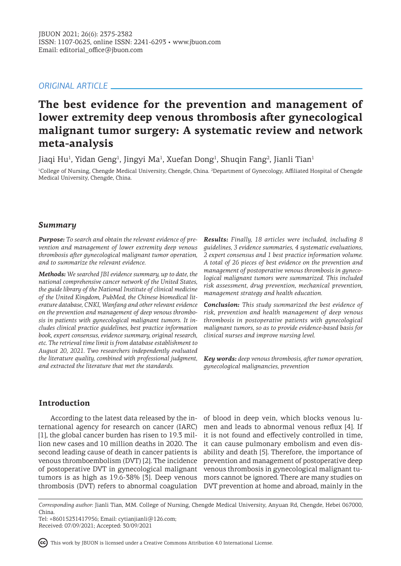# *ORIGINAL ARTICLE*

# **The best evidence for the prevention and management of lower extremity deep venous thrombosis after gynecological malignant tumor surgery: A systematic review and network meta-analysis**

Jiaqi Hu<sup>1</sup>, Yidan Geng<sup>1</sup>, Jingyi Ma<sup>1</sup>, Xuefan Dong<sup>1</sup>, Shuqin Fang<sup>2</sup>, Jianli Tian<sup>1</sup>

<sup>1</sup>College of Nursing, Chengde Medical University, Chengde, China. <sup>2</sup>Department of Gynecology, Affiliated Hospital of Chengde Medical University, Chengde, China.

#### *Summary*

*Purpose: To search and obtain the relevant evidence of prevention and management of lower extremity deep venous thrombosis after gynecological malignant tumor operation, and to summarize the relevant evidence.*

*Methods: We searched JBI evidence summary, up to date, the national comprehensive cancer network of the United States, the guide library of the National Institute of clinical medicine of the United Kingdom, PubMed, the Chinese biomedical literature database, CNKI, Wanfang and other relevant evidence on the prevention and management of deep venous thrombosis in patients with gynecological malignant tumors. It includes clinical practice guidelines, best practice information book, expert consensus, evidence summary, original research, etc. The retrieval time limit is from database establishment to August 20, 2021. Two researchers independently evaluated the literature quality, combined with professional judgment, and extracted the literature that met the standards.*

*Results: Finally, 18 articles were included, including 8 guidelines, 3 evidence summaries, 4 systematic evaluations, 2 expert consensus and 1 best practice information volume. A total of 26 pieces of best evidence on the prevention and management of postoperative venous thrombosis in gynecological malignant tumors were summarized. This included risk assessment, drug prevention, mechanical prevention, management strategy and health education.*

*Conclusion: This study summarized the best evidence of risk, prevention and health management of deep venous thrombosis in postoperative patients with gynecological malignant tumors, so as to provide evidence-based basis for clinical nurses and improve nursing level.*

*Key words: deep venous thrombosis, after tumor operation, gynecological malignancies, prevention*

# **Introduction**

ternational agency for research on cancer (IARC) [1], the global cancer burden has risen to 19.3 million new cases and 10 million deaths in 2020. The second leading cause of death in cancer patients is venous thromboembolism (DVT) [2]. The incidence of postoperative DVT in gynecological malignant tumors is as high as 19.6-38% [3]. Deep venous thrombosis (DVT) refers to abnormal coagulation DVT prevention at home and abroad, mainly in the

According to the latest data released by the in-of blood in deep vein, which blocks venous lumen and leads to abnormal venous reflux [4]. If it is not found and effectively controlled in time, it can cause pulmonary embolism and even disability and death [5]. Therefore, the importance of prevention and management of postoperative deep venous thrombosis in gynecological malignant tumors cannot be ignored. There are many studies on

This work by JBUON is licensed under a Creative Commons Attribution 4.0 International License.

*Corresponding author:* Jianli Tian, MM. College of Nursing, Chengde Medical University, Anyuan Rd, Chengde, Hebei 067000, China.

Tel: +86015231417956; Email: cytianjianli@126.com; Received: 07/09/2021; Accepted: 30/09/2021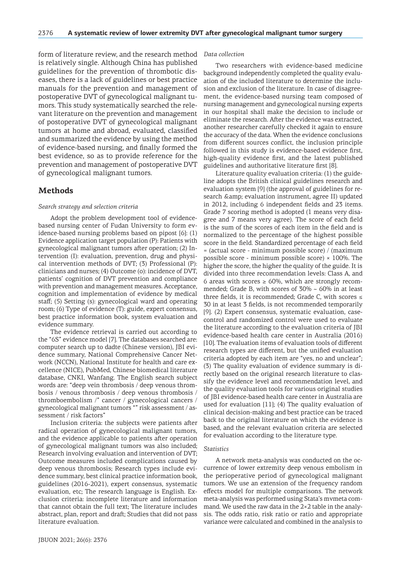form of literature review, and the research method is relatively single. Although China has published guidelines for the prevention of thrombotic diseases, there is a lack of guidelines or best practice manuals for the prevention and management of postoperative DVT of gynecological malignant tumors. This study systematically searched the relevant literature on the prevention and management of postoperative DVT of gynecological malignant tumors at home and abroad, evaluated, classified and summarized the evidence by using the method of evidence-based nursing, and finally formed the best evidence, so as to provide reference for the prevention and management of postoperative DVT of gynecological malignant tumors.

## **Methods**

#### *Search strategy and selection criteria*

Adopt the problem development tool of evidencebased nursing center of Fudan University to form evidence-based nursing problems based on pipost [6]: (1) Evidence application target population (P): Patients with gynecological malignant tumors after operation; (2) Intervention (I): evaluation, prevention, drug and physical intervention methods of DVT; (3) Professional (P): clinicians and nurses; (4) Outcome (o): incidence of DVT, patients' cognition of DVT prevention and compliance with prevention and management measures. Acceptance, cognition and implementation of evidence by medical staff; (5) Setting (s): gynecological ward and operating room; (6) Type of evidence (T): guide, expert consensus, best practice information book, system evaluation and evidence summary.

The evidence retrieval is carried out according to the "6S" evidence model [7]. The databases searched are: computer search up to dadte (Chinese version), JBI evidence summary, National Comprehensive Cancer Network (NCCN), National Institute for health and care excellence (NICE), PubMed, Chinese biomedical literature database, CNKI, Wanfang. The English search subject words are: "deep vein thrombosis / deep venous thrombosis / venous thrombosis / deep venous thrombosis / thromboembolism /" cancer / gynecological cancers / gynecological malignant tumors "" risk assessment / assessment / risk factors"

Inclusion criteria: the subjects were patients after radical operation of gynecological malignant tumors, and the evidence applicable to patients after operation of gynecological malignant tumors was also included; Research involving evaluation and intervention of DVT; Outcome measures included complications caused by deep venous thrombosis; Research types include evidence summary, best clinical practice information book, guidelines (2016-2021), expert consensus, systematic evaluation, etc; The research language is English. Exclusion criteria: incomplete literature and information that cannot obtain the full text; The literature includes abstract, plan, report and draft; Studies that did not pass literature evaluation.

#### *Data collection*

Two researchers with evidence-based medicine background independently completed the quality evaluation of the included literature to determine the inclusion and exclusion of the literature. In case of disagreement, the evidence-based nursing team composed of nursing management and gynecological nursing experts in our hospital shall make the decision to include or eliminate the research. After the evidence was extracted, another researcher carefully checked it again to ensure the accuracy of the data. When the evidence conclusions from different sources conflict, the inclusion principle followed in this study is evidence-based evidence first, high-quality evidence first, and the latest published guidelines and authoritative literature first [8].

Literature quality evaluation criteria: (1) the guideline adopts the British clinical guidelines research and evaluation system [9] (the approval of guidelines for research & amp; evaluation instrument, agree II) updated in 2012, including 6 independent fields and 23 items. Grade 7 scoring method is adopted (1 means very disagree and 7 means very agree). The score of each field is the sum of the scores of each item in the field and is normalized to the percentage of the highest possible score in the field. Standardized percentage of each field = (actual score - minimum possible score) / (maximum possible score - minimum possible score)  $\times$  100%. The higher the score, the higher the quality of the guide. It is divided into three recommendation levels: Class A, and 6 areas with scores  $\geq$  60%, which are strongly recommended; Grade B, with scores of  $30\% \sim 60\%$  in at least three fields, it is recommended; Grade C, with scores ≤ 30 in at least 3 fields, is not recommended temporarily [9]. (2) Expert consensus, systematic evaluation, casecontrol and randomized control were used to evaluate the literature according to the evaluation criteria of JBI evidence-based health care center in Australia (2016) [10]. The evaluation items of evaluation tools of different research types are different, but the unified evaluation criteria adopted by each item are "yes, no and unclear"; (3) The quality evaluation of evidence summary is directly based on the original research literature to classify the evidence level and recommendation level, and the quality evaluation tools for various original studies of JBI evidence-based health care center in Australia are used for evaluation [11]; (4) The quality evaluation of clinical decision-making and best practice can be traced back to the original literature on which the evidence is based, and the relevant evaluation criteria are selected for evaluation according to the literature type.

#### *Statistics*

A network meta-analysis was conducted on the occurrence of lower extremity deep venous embolism in the perioperative period of gynecological malignant tumors. We use an extension of the frequency random effects model for multiple comparisons. The network meta-analysis was performed using Stata's mvmeta command. We used the raw data in the  $2\times 2$  table in the analysis. The odds ratio, risk ratio or ratio and appropriate variance were calculated and combined in the analysis to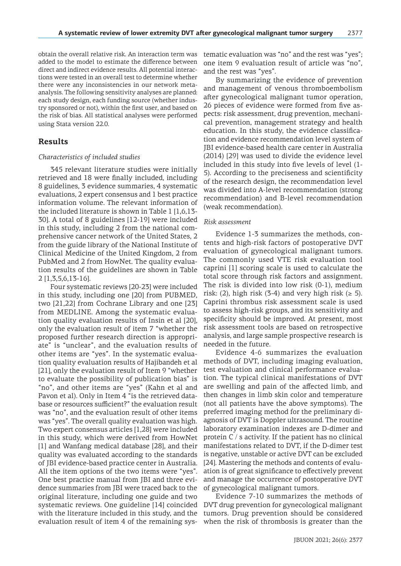obtain the overall relative risk. An interaction term was added to the model to estimate the difference between direct and indirect evidence results. All potential interactions were tested in an overall test to determine whether there were any inconsistencies in our network metaanalysis. The following sensitivity analyses are planned: each study design, each funding source (whether industry sponsored or not), within the first user, and based on the risk of bias. All statistical analyses were performed using Stata version 22.0.

# **Results**

### *Characteristics of included studies*

345 relevant literature studies were initially retrieved and 18 were finally included, including 8 guidelines, 3 evidence summaries, 4 systematic evaluations, 2 expert consensus and 1 best practice information volume. The relevant information of the included literature is shown in Table 1 [1,6,13- 30]. A total of 8 guidelines [12-19] were included in this study, including 2 from the national comprehensive cancer network of the United States, 2 from the guide library of the National Institute of Clinical Medicine of the United Kingdom, 2 from PubMed and 2 from HowNet. The quality evaluation results of the guidelines are shown in Table 2 [1,3,5,6,13-16].

Four systematic reviews [20-23] were included in this study, including one [20] from PUBMED, two [21,22] from Cochrane Library and one [23] from MEDLINE. Among the systematic evaluation quality evaluation results of Insin et al [20], only the evaluation result of item 7 "whether the proposed further research direction is appropriate" is "unclear", and the evaluation results of other items are "yes". In the systematic evaluation quality evaluation results of Hajibandeh et al [21], only the evaluation result of Item 9 "whether to evaluate the possibility of publication bias" is "no", and other items are "yes" (Kahn et al and Pavon et al). Only in Item 4 "is the retrieved database or resources sufficient?" the evaluation result was "no", and the evaluation result of other items was "yes". The overall quality evaluation was high. Two expert consensus articles [1,28] were included in this study, which were derived from HowNet [1] and Wanfang medical database [28], and their quality was evaluated according to the standards of JBI evidence-based practice center in Australia. All the item options of the two items were "yes". One best practice manual from JBI and three evidence summaries from JBI were traced back to the original literature, including one guide and two systematic reviews. One guideline [14] coincided with the literature included in this study, and the evaluation result of item 4 of the remaining sys-

tematic evaluation was "no" and the rest was "yes"; one item 9 evaluation result of article was "no", and the rest was "yes".

By summarizing the evidence of prevention and management of venous thromboembolism after gynecological malignant tumor operation, 26 pieces of evidence were formed from five aspects: risk assessment, drug prevention, mechanical prevention, management strategy and health education. In this study, the evidence classification and evidence recommendation level system of JBI evidence-based health care center in Australia (2014) [29] was used to divide the evidence level included in this study into five levels of level (1- 5). According to the preciseness and scientificity of the research design, the recommendation level was divided into A-level recommendation (strong recommendation) and B-level recommendation (weak recommendation).

#### *Risk assessment*

Evidence 1-3 summarizes the methods, contents and high-risk factors of postoperative DVT evaluation of gynecological malignant tumors. The commonly used VTE risk evaluation tool caprini [1] scoring scale is used to calculate the total score through risk factors and assignment. The risk is divided into low risk (0-1), medium risk: (2), high risk (3-4) and very high risk ( $\geq$  5). Caprini thrombus risk assessment scale is used to assess high-risk groups, and its sensitivity and specificity should be improved. At present, most risk assessment tools are based on retrospective analysis, and large sample prospective research is needed in the future.

Evidence 4-6 summarizes the evaluation methods of DVT, including imaging evaluation, test evaluation and clinical performance evaluation. The typical clinical manifestations of DVT are swelling and pain of the affected limb, and then changes in limb skin color and temperature (not all patients have the above symptoms). The preferred imaging method for the preliminary diagnosis of DVT is Doppler ultrasound. The routine laboratory examination indexes are D-dimer and protein  $C / s$  activity. If the patient has no clinical manifestations related to DVT, if the D-dimer test is negative, unstable or active DVT can be excluded [24]. Mastering the methods and contents of evaluation is of great significance to effectively prevent and manage the occurrence of postoperative DVT of gynecological malignant tumors.

Evidence 7-10 summarizes the methods of DVT drug prevention for gynecological malignant tumors. Drug prevention should be considered when the risk of thrombosis is greater than the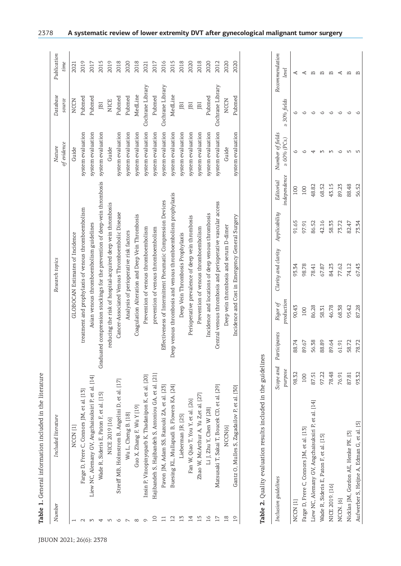| GLOBOCAN Estimates of Incidence                                            | of evidence                                                                                                                                                                                                                                                                                                                                                                                                                                                                                                                                                                                                                                                                                                                                                                  | source           | time |
|----------------------------------------------------------------------------|------------------------------------------------------------------------------------------------------------------------------------------------------------------------------------------------------------------------------------------------------------------------------------------------------------------------------------------------------------------------------------------------------------------------------------------------------------------------------------------------------------------------------------------------------------------------------------------------------------------------------------------------------------------------------------------------------------------------------------------------------------------------------|------------------|------|
|                                                                            |                                                                                                                                                                                                                                                                                                                                                                                                                                                                                                                                                                                                                                                                                                                                                                              |                  |      |
|                                                                            | Guide                                                                                                                                                                                                                                                                                                                                                                                                                                                                                                                                                                                                                                                                                                                                                                        | NCCN             | 2021 |
| treatment and prophylaxis of venous thromboembolism                        | system evaluation                                                                                                                                                                                                                                                                                                                                                                                                                                                                                                                                                                                                                                                                                                                                                            | Pubmed           | 2019 |
| Asian venous thromboembolism guidelines                                    | system evaluation                                                                                                                                                                                                                                                                                                                                                                                                                                                                                                                                                                                                                                                                                                                                                            | Pubmed           | 2017 |
| Graduated compression stockings for the prevention of deep-vein thrombosis | system evaluation                                                                                                                                                                                                                                                                                                                                                                                                                                                                                                                                                                                                                                                                                                                                                            | JBI              | 2015 |
|                                                                            | Guide                                                                                                                                                                                                                                                                                                                                                                                                                                                                                                                                                                                                                                                                                                                                                                        | <b>NICE</b>      | 2019 |
|                                                                            | system evaluation                                                                                                                                                                                                                                                                                                                                                                                                                                                                                                                                                                                                                                                                                                                                                            | Pubmed           | 2018 |
|                                                                            | system evaluation                                                                                                                                                                                                                                                                                                                                                                                                                                                                                                                                                                                                                                                                                                                                                            | Pubmed           | 2020 |
|                                                                            | system evaluation                                                                                                                                                                                                                                                                                                                                                                                                                                                                                                                                                                                                                                                                                                                                                            | MedLine          | 2018 |
|                                                                            | system evaluation                                                                                                                                                                                                                                                                                                                                                                                                                                                                                                                                                                                                                                                                                                                                                            | Cochrane Library | 2021 |
|                                                                            | system evaluation                                                                                                                                                                                                                                                                                                                                                                                                                                                                                                                                                                                                                                                                                                                                                            | Pubmed           | 2017 |
|                                                                            | system evaluation                                                                                                                                                                                                                                                                                                                                                                                                                                                                                                                                                                                                                                                                                                                                                            | Cochrane Library | 2016 |
|                                                                            | system evaluation                                                                                                                                                                                                                                                                                                                                                                                                                                                                                                                                                                                                                                                                                                                                                            | MedLine          | 2015 |
|                                                                            | system evaluation                                                                                                                                                                                                                                                                                                                                                                                                                                                                                                                                                                                                                                                                                                                                                            | JВI              | 2018 |
|                                                                            | system evaluation                                                                                                                                                                                                                                                                                                                                                                                                                                                                                                                                                                                                                                                                                                                                                            | JВI              | 2020 |
|                                                                            | system evaluation                                                                                                                                                                                                                                                                                                                                                                                                                                                                                                                                                                                                                                                                                                                                                            | JBI              | 2018 |
|                                                                            | system evaluation                                                                                                                                                                                                                                                                                                                                                                                                                                                                                                                                                                                                                                                                                                                                                            | Pubmed           | 2020 |
|                                                                            | system evaluation                                                                                                                                                                                                                                                                                                                                                                                                                                                                                                                                                                                                                                                                                                                                                            | Cochrane Library | 2012 |
|                                                                            | Guide                                                                                                                                                                                                                                                                                                                                                                                                                                                                                                                                                                                                                                                                                                                                                                        | <b>NCCN</b>      | 2020 |
|                                                                            | system evaluation                                                                                                                                                                                                                                                                                                                                                                                                                                                                                                                                                                                                                                                                                                                                                            | Pubmed           | 2020 |
|                                                                            | Deep venous thrombosis and venous thromboembolism prophylaxis<br>Effectiveness of Intermittent Pneumatic Compression Devices<br>Central venous thrombosis and perioperative vascular access<br>reducing the risk of hospital-acquired deep vein thrombosis<br>Cancer-Associated Venous Thromboembolic Disease<br>Incidence and locations of deep venous thrombosis<br>Coagulation Alteration and Deep Vein Thrombosis<br>Incidence and Cost in Emergency General Surgery<br>Perioperative prevalence of deep vein thrombosis<br>Deep vein thrombosis and serum D-dimer<br>Prevention of venous thromboembolism<br>prevention of venous thromboembolism<br>Prevention of venous thromboembolism<br>Analysis of perioperative risk factors<br>Deep Vein Thrombosis Prophylaxis |                  |      |

Wade R, Sideris E, Paton F, et al. [15] 97.22 88.89 58.31 67.87 42.16 68.52 3 68.52 NICE 2019. [16] 78.48 89.64 46.78 84.23 58.33 43.15 3 6 B NCCN. [6] 61.91 61.91 68.38 68.38 77.62 77.62 73.72 68.38 6 6 6 6 6 6 6 6 76.01 6 75.72 6 Nicklas JM, Gordon AE, Henke PK. [3] 87.81 58.72 95.42 74.12 82.47 88.48 58.48 Aufwerber S, Heijne A, Edman G, et al. [5] 93.32 78.72 87.28 67.43 73.34 56.52 56.52 5 6

58.31

88.89

97.22

Wade R, Sideris E, Paton F, et al. [15]

NICE 2019. [16]

NCCN. [6]

46.78 68.38

89.64<br>61.91<br>58.72

78.48<br>76.91<br>87.81<br>93.32

67.87

 $\begin{array}{ccccccccccccccccc} \multicolumn{4}{c}{} & \multicolumn{4}{c}{} & \multicolumn{4}{c}{} & \multicolumn{4}{c}{} & \multicolumn{4}{c}{} & \multicolumn{4}{c}{} & \multicolumn{4}{c}{} & \multicolumn{4}{c}{} & \multicolumn{4}{c}{} & \multicolumn{4}{c}{} & \multicolumn{4}{c}{} & \multicolumn{4}{c}{} & \multicolumn{4}{c}{} & \multicolumn{4}{c}{} & \multicolumn{4}{c}{} & \multicolumn{4}{c}{} & \multicolumn{4}{c}{} & \multicolumn{4}{c}{} & \multicolumn{4}{c}{} &$ 

 $\circ\hspace{0.1cm} \circ\hspace{0.1cm}\circ\hspace{0.1cm}\circ$ 

mmoun

89.23<br>88.48<br>56.52

58.33<br>75.72<br>75.34<br>75.34

84.23<br>77.62<br>74.12<br>67.43

95.42<br>87.28

78.72

Aufwerber S, Heijne A, Edman G, et al. [5] Nicklas JM, Gordon AE, Henke PK. [3]

43.15

68.52

42.16

 $\circ$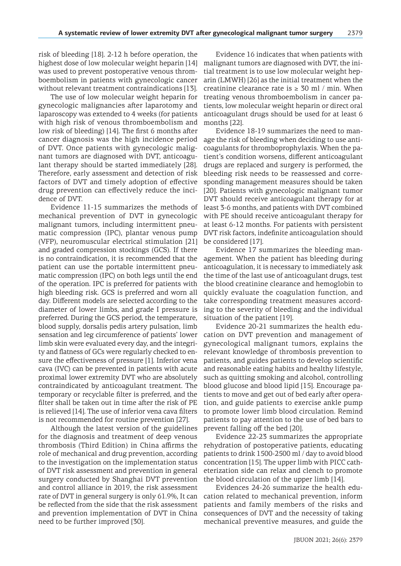risk of bleeding [18]. 2-12 h before operation, the highest dose of low molecular weight heparin [14] was used to prevent postoperative venous thromboembolism in patients with gynecologic cancer without relevant treatment contraindications [13].

The use of low molecular weight heparin for gynecologic malignancies after laparotomy and laparoscopy was extended to 4 weeks (for patients with high risk of venous thromboembolism and low risk of bleeding) [14]. The first 6 months after cancer diagnosis was the high incidence period of DVT. Once patients with gynecologic malignant tumors are diagnosed with DVT, anticoagulant therapy should be started immediately [28]. Therefore, early assessment and detection of risk factors of DVT and timely adoption of effective drug prevention can effectively reduce the incidence of DVT.

Evidence 11-15 summarizes the methods of mechanical prevention of DVT in gynecologic malignant tumors, including intermittent pneumatic compression (IPC), plantar venous pump (VFP), neuromuscular electrical stimulation [21] and graded compression stockings (GCS). If there is no contraindication, it is recommended that the patient can use the portable intermittent pneumatic compression (IPC) on both legs until the end of the operation. IPC is preferred for patients with high bleeding risk. GCS is preferred and worn all day. Different models are selected according to the diameter of lower limbs, and grade I pressure is preferred. During the GCS period, the temperature, blood supply, dorsalis pedis artery pulsation, limb sensation and leg circumference of patients' lower limb skin were evaluated every day, and the integrity and flatness of GCs were regularly checked to ensure the effectiveness of pressure [1]. Inferior vena cava (IVC) can be prevented in patients with acute proximal lower extremity DVT who are absolutely contraindicated by anticoagulant treatment. The temporary or recyclable filter is preferred, and the filter shall be taken out in time after the risk of PE is relieved [14]. The use of inferior vena cava filters is not recommended for routine prevention [27].

Although the latest version of the guidelines for the diagnosis and treatment of deep venous thrombosis (Third Edition) in China affirms the role of mechanical and drug prevention, according to the investigation on the implementation status of DVT risk assessment and prevention in general surgery conducted by Shanghai DVT prevention and control alliance in 2019, the risk assessment rate of DVT in general surgery is only 61.9%, It can be reflected from the side that the risk assessment and prevention implementation of DVT in China need to be further improved [30].

Evidence 16 indicates that when patients with malignant tumors are diagnosed with DVT, the initial treatment is to use low molecular weight heparin (LMWH) [26] as the initial treatment when the creatinine clearance rate is  $\geq 30$  ml / min. When treating venous thromboembolism in cancer patients, low molecular weight heparin or direct oral anticoagulant drugs should be used for at least 6 months [22].

Evidence 18-19 summarizes the need to manage the risk of bleeding when deciding to use anticoagulants for thromboprophylaxis. When the patient's condition worsens, different anticoagulant drugs are replaced and surgery is performed, the bleeding risk needs to be reassessed and corresponding management measures should be taken [20]. Patients with gynecologic malignant tumor DVT should receive anticoagulant therapy for at least 3-6 months, and patients with DVT combined with PE should receive anticoagulant therapy for at least 6-12 months. For patients with persistent DVT risk factors, indefinite anticoagulation should be considered [17].

Evidence 17 summarizes the bleeding management. When the patient has bleeding during anticoagulation, it is necessary to immediately ask the time of the last use of anticoagulant drugs, test the blood creatinine clearance and hemoglobin to quickly evaluate the coagulation function, and take corresponding treatment measures according to the severity of bleeding and the individual situation of the patient [19].

Evidence 20-21 summarizes the health education on DVT prevention and management of gynecological malignant tumors, explains the relevant knowledge of thrombosis prevention to patients, and guides patients to develop scientific and reasonable eating habits and healthy lifestyle, such as quitting smoking and alcohol, controlling blood glucose and blood lipid [15]. Encourage patients to move and get out of bed early after operation, and guide patients to exercise ankle pump to promote lower limb blood circulation. Remind patients to pay attention to the use of bed bars to prevent falling off the bed [20].

Evidence 22-23 summarizes the appropriate rehydration of postoperative patients, educating patients to drink 1500-2500 ml / day to avoid blood concentration [15]. The upper limb with PICC catheterization side can relax and clench to promote the blood circulation of the upper limb [14].

Evidences 24-26 summarize the health education related to mechanical prevention, inform patients and family members of the risks and consequences of DVT and the necessity of taking mechanical preventive measures, and guide the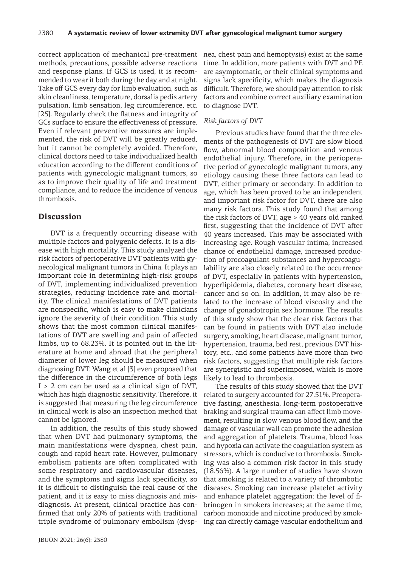correct application of mechanical pre-treatment methods, precautions, possible adverse reactions and response plans. If GCS is used, it is recommended to wear it both during the day and at night. Take off GCS every day for limb evaluation, such as skin cleanliness, temperature, dorsalis pedis artery pulsation, limb sensation, leg circumference, etc. [25]. Regularly check the flatness and integrity of GCs surface to ensure the effectiveness of pressure. Even if relevant preventive measures are implemented, the risk of DVT will be greatly reduced, but it cannot be completely avoided. Therefore, clinical doctors need to take individualized health education according to the different conditions of patients with gynecologic malignant tumors, so as to improve their quality of life and treatment compliance, and to reduce the incidence of venous thrombosis.

# **Discussion**

DVT is a frequently occurring disease with multiple factors and polygenic defects. It is a disease with high mortality. This study analyzed the risk factors of perioperative DVT patients with gynecological malignant tumors in China. It plays an important role in determining high-risk groups of DVT, implementing individualized prevention strategies, reducing incidence rate and mortality. The clinical manifestations of DVT patients are nonspecific, which is easy to make clinicians ignore the severity of their condition. This study shows that the most common clinical manifestations of DVT are swelling and pain of affected limbs, up to 68.23%. It is pointed out in the literature at home and abroad that the peripheral diameter of lower leg should be measured when diagnosing DVT. Wang et al [3] even proposed that the difference in the circumference of both legs  $I > 2$  cm can be used as a clinical sign of DVT, which has high diagnostic sensitivity. Therefore, it is suggested that measuring the leg circumference in clinical work is also an inspection method that cannot be ignored.

In addition, the results of this study showed that when DVT had pulmonary symptoms, the main manifestations were dyspnea, chest pain, cough and rapid heart rate. However, pulmonary embolism patients are often complicated with some respiratory and cardiovascular diseases, and the symptoms and signs lack specificity, so it is difficult to distinguish the real cause of the patient, and it is easy to miss diagnosis and misdiagnosis. At present, clinical practice has confirmed that only 20% of patients with traditional triple syndrome of pulmonary embolism (dysp-

nea, chest pain and hemoptysis) exist at the same time. In addition, more patients with DVT and PE are asymptomatic, or their clinical symptoms and signs lack specificity, which makes the diagnosis difficult. Therefore, we should pay attention to risk factors and combine correct auxiliary examination to diagnose DVT.

## *Risk factors of DVT*

Previous studies have found that the three elements of the pathogenesis of DVT are slow blood flow, abnormal blood composition and venous endothelial injury. Therefore, in the perioperative period of gynecologic malignant tumors, any etiology causing these three factors can lead to DVT, either primary or secondary. In addition to age, which has been proved to be an independent and important risk factor for DVT, there are also many risk factors. This study found that among the risk factors of DVT, age > 40 years old ranked first, suggesting that the incidence of DVT after 40 years increased. This may be associated with increasing age. Rough vascular intima, increased chance of endothelial damage, increased production of procoagulant substances and hypercoagulability are also closely related to the occurrence of DVT, especially in patients with hypertension, hyperlipidemia, diabetes, coronary heart disease, cancer and so on. In addition, it may also be related to the increase of blood viscosity and the change of gonadotropin sex hormone. The results of this study show that the clear risk factors that can be found in patients with DVT also include surgery, smoking, heart disease, malignant tumor, hypertension, trauma, bed rest, previous DVT history, etc., and some patients have more than two risk factors, suggesting that multiple risk factors are synergistic and superimposed, which is more likely to lead to thrombosis.

The results of this study showed that the DVT related to surgery accounted for 27.51%. Preoperative fasting, anesthesia, long-term postoperative braking and surgical trauma can affect limb movement, resulting in slow venous blood flow, and the damage of vascular wall can promote the adhesion and aggregation of platelets. Trauma, blood loss and hypoxia can activate the coagulation system as stressors, which is conducive to thrombosis. Smoking was also a common risk factor in this study (18.56%). A large number of studies have shown that smoking is related to a variety of thrombotic diseases. Smoking can increase platelet activity and enhance platelet aggregation: the level of fibrinogen in smokers increases; at the same time, carbon monoxide and nicotine produced by smoking can directly damage vascular endothelium and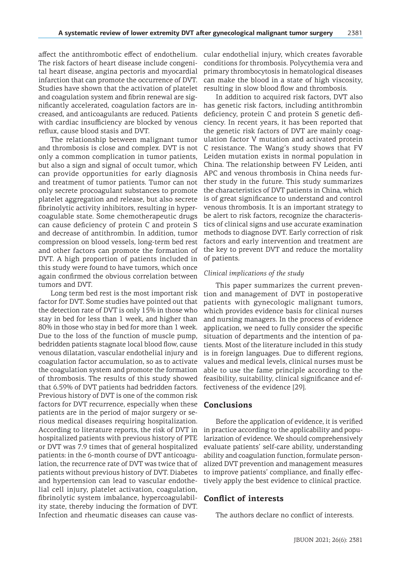affect the antithrombotic effect of endothelium. The risk factors of heart disease include congenital heart disease, angina pectoris and myocardial infarction that can promote the occurrence of DVT. Studies have shown that the activation of platelet and coagulation system and fibrin renewal are significantly accelerated, coagulation factors are increased, and anticoagulants are reduced. Patients with cardiac insufficiency are blocked by venous reflux, cause blood stasis and DVT.

The relationship between malignant tumor and thrombosis is close and complex. DVT is not only a common complication in tumor patients, but also a sign and signal of occult tumor, which can provide opportunities for early diagnosis and treatment of tumor patients. Tumor can not only secrete procoagulant substances to promote platelet aggregation and release, but also secrete fibrinolytic activity inhibitors, resulting in hypercoagulable state. Some chemotherapeutic drugs can cause deficiency of protein C and protein S and decrease of antithrombin. In addition, tumor compression on blood vessels, long-term bed rest and other factors can promote the formation of DVT. A high proportion of patients included in this study were found to have tumors, which once again confirmed the obvious correlation between tumors and DVT.

Long term bed rest is the most important risk factor for DVT. Some studies have pointed out that the detection rate of DVT is only 15% in those who stay in bed for less than 1 week, and higher than 80% in those who stay in bed for more than 1 week. Due to the loss of the function of muscle pump, bedridden patients stagnate local blood flow, cause venous dilatation, vascular endothelial injury and coagulation factor accumulation, so as to activate the coagulation system and promote the formation of thrombosis. The results of this study showed that 6.59% of DVT patients had bedridden factors. Previous history of DVT is one of the common risk factors for DVT recurrence, especially when these patients are in the period of major surgery or serious medical diseases requiring hospitalization. According to literature reports, the risk of DVT in hospitalized patients with previous history of PTE or DVT was 7.9 times that of general hospitalized patients: in the 6-month course of DVT anticoagulation, the recurrence rate of DVT was twice that of patients without previous history of DVT. Diabetes and hypertension can lead to vascular endothelial cell injury, platelet activation, coagulation, fibrinolytic system imbalance, hypercoagulability state, thereby inducing the formation of DVT. Infection and rheumatic diseases can cause vascular endothelial injury, which creates favorable conditions for thrombosis. Polycythemia vera and primary thrombocytosis in hematological diseases can make the blood in a state of high viscosity, resulting in slow blood flow and thrombosis.

In addition to acquired risk factors, DVT also has genetic risk factors, including antithrombin deficiency, protein C and protein S genetic deficiency. In recent years, it has been reported that the genetic risk factors of DVT are mainly coagulation factor V mutation and activated protein C resistance. The Wang's study shows that FV Leiden mutation exists in normal population in China. The relationship between FV Leiden, anti APC and venous thrombosis in China needs further study in the future. This study summarizes the characteristics of DVT patients in China, which is of great significance to understand and control venous thrombosis. It is an important strategy to be alert to risk factors, recognize the characteristics of clinical signs and use accurate examination methods to diagnose DVT. Early correction of risk factors and early intervention and treatment are the key to prevent DVT and reduce the mortality of patients.

### *Clinical implications of the study*

This paper summarizes the current prevention and management of DVT in postoperative patients with gynecologic malignant tumors, which provides evidence basis for clinical nurses and nursing managers. In the process of evidence application, we need to fully consider the specific situation of departments and the intention of patients. Most of the literature included in this study is in foreign languages. Due to different regions, values and medical levels, clinical nurses must be able to use the fame principle according to the feasibility, suitability, clinical significance and effectiveness of the evidence [29].

# **Conclusions**

Before the application of evidence, it is verified in practice according to the applicability and popularization of evidence. We should comprehensively evaluate patients' self-care ability, understanding ability and coagulation function, formulate personalized DVT prevention and management measures to improve patients' compliance, and finally effectively apply the best evidence to clinical practice.

# **Conflict of interests**

The authors declare no conflict of interests.